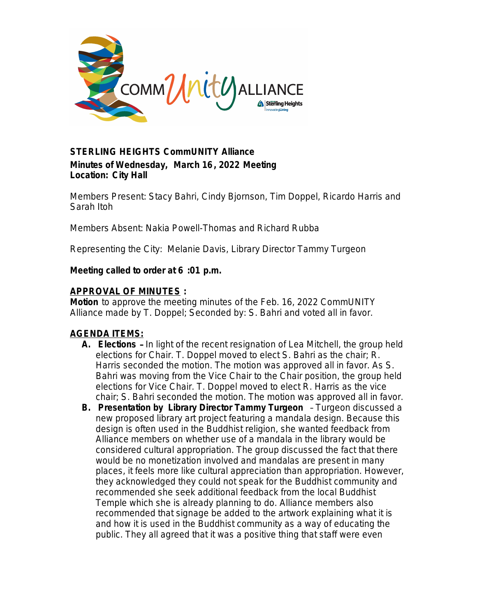

# *STERLING HEIGHTS CommUNITY Alliance* **Minutes of Wednesday, March 16, 2022 Meeting Location: City Hall**

*Members Present:* Stacy Bahri, Cindy Bjornson, Tim Doppel, Ricardo Harris and Sarah Itoh

*Members Absent*: Nakia Powell-Thomas and Richard Rubba

*Representing the City*: Melanie Davis, Library Director Tammy Turgeon

### **Meeting called to order at 6 :01 p.m.**

### **APPROVAL OF MINUTES :**

*Motion* to approve the meeting minutes of the Feb. 16, 2022 CommUNITY Alliance made by T. Doppel; Seconded by: S. Bahri and voted all in favor.

# **AGENDA ITEMS:**

- **A. Elections**  In light of the recent resignation of Lea Mitchell, the group held elections for Chair. T. Doppel moved to elect S. Bahri as the chair; R. Harris seconded the motion. The motion was approved all in favor. As S. Bahri was moving from the Vice Chair to the Chair position, the group held elections for Vice Chair. T. Doppel moved to elect R. Harris as the vice chair; S. Bahri seconded the motion. The motion was approved all in favor.
- **B. Presentation by Library Director Tammy Turgeon** Turgeon discussed a new proposed library art project featuring a mandala design. Because this design is often used in the Buddhist religion, she wanted feedback from Alliance members on whether use of a mandala in the library would be considered cultural appropriation. The group discussed the fact that there would be no monetization involved and mandalas are present in many places, it feels more like cultural appreciation than appropriation. However, they acknowledged they could not speak for the Buddhist community and recommended she seek additional feedback from the local Buddhist Temple which she is already planning to do. Alliance members also recommended that signage be added to the artwork explaining what it is and how it is used in the Buddhist community as a way of educating the public. They all agreed that it was a positive thing that staff were even